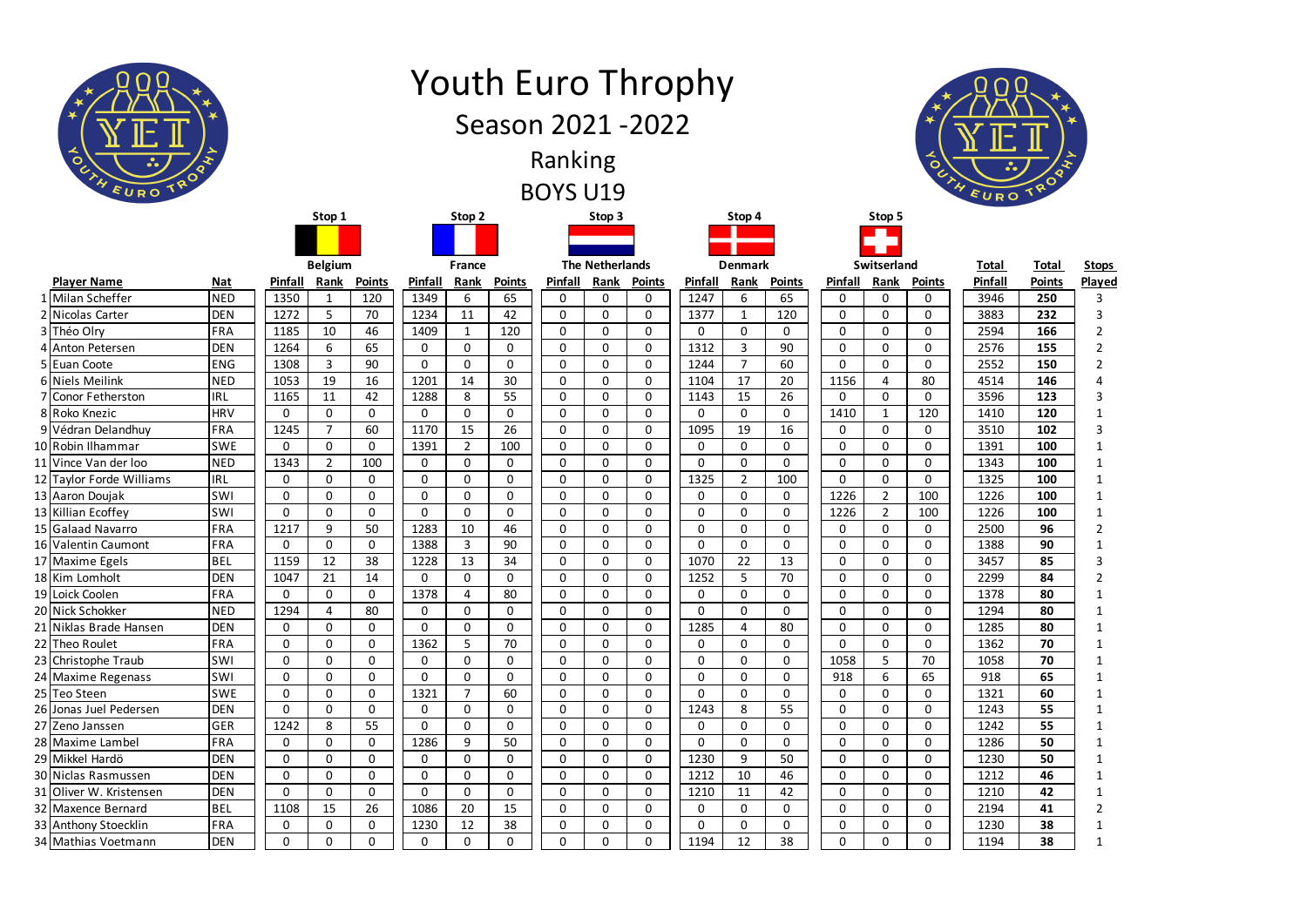| ᆺ<br>$\circ$                          |                          |                            |                            |                             |                   |                            | Season 2021 - 2022         | Ranking<br><b>BOYS U19</b> |                            |                            | <b>Youth Euro Throphy</b> |                |                              |                      |                  | $\bullet$         | $\ddot{\bullet}$ |               |                |
|---------------------------------------|--------------------------|----------------------------|----------------------------|-----------------------------|-------------------|----------------------------|----------------------------|----------------------------|----------------------------|----------------------------|---------------------------|----------------|------------------------------|----------------------|------------------|-------------------|------------------|---------------|----------------|
|                                       |                          |                            | Stop 1                     |                             |                   | Stop 2                     |                            |                            | Stop 3                     |                            |                           | Stop 4         |                              |                      | Stop 5           |                   |                  |               |                |
|                                       |                          |                            |                            |                             |                   |                            |                            |                            |                            |                            |                           |                |                              |                      |                  |                   |                  |               |                |
|                                       |                          |                            | <b>Belgium</b>             |                             |                   | France                     |                            |                            | <b>The Netherlands</b>     |                            |                           | <b>Denmark</b> |                              |                      | Switserland      |                   | <b>Total</b>     | <b>Total</b>  | <b>Stops</b>   |
| <b>Player Name</b>                    | <b>Nat</b>               | Pinfall                    | Rank                       | <b>Points</b>               | <b>Pinfall</b>    | Rank                       | <b>Points</b>              | Pinfall                    | Rank                       | <b>Points</b>              | Pinfall                   | Rank           | <b>Points</b>                | Pinfall              | Rank             | <b>Points</b>     | Pinfall          | <b>Points</b> | Played         |
| 1 Milan Scheffer                      | <b>NED</b>               | 1350                       | $\mathbf{1}$               | 120                         | 1349              | 6                          | 65                         | 0                          | 0                          | 0                          | 1247                      | 6              | 65                           | $\Omega$             | 0                | 0                 | 3946             | 250           | 3              |
| 2 Nicolas Carter                      | <b>DEN</b>               | 1272                       | 5                          | 70                          | 1234              | 11                         | 42                         | $\mathbf 0$                | $\mathbf 0$                | $\mathbf 0$                | 1377                      | $\mathbf{1}$   | 120                          | $\mathbf{0}$         | 0                | 0                 | 3883             | 232           | 3              |
| 3 Théo Olry                           | FRA                      | 1185                       | 10                         | 46                          | 1409              | 1                          | 120                        | $\mathbf 0$                | 0                          | 0                          | 0                         | 0              | 0                            | 0                    | $\Omega$         | 0                 | 2594             | 166           | $\overline{2}$ |
| 4 Anton Petersen                      | <b>DEN</b>               | 1264                       | 6                          | 65                          | 0                 | $\mathbf 0$                | 0                          | $\mathbf 0$                | $\mathbf 0$                | $\mathbf 0$                | 1312                      | 3              | 90                           | $\mathbf{0}$         | 0                | 0                 | 2576             | 155           | $\overline{2}$ |
| 5 Euan Coote                          | <b>ENG</b>               | 1308                       | 3                          | 90                          | $\mathbf{0}$      | $\mathbf{0}$               | 0                          | $\mathbf 0$                | 0                          | $\mathbf 0$                | 1244                      | $\overline{7}$ | 60                           | $\mathbf{0}$         | 0                | 0                 | 2552             | 150           |                |
| 6 Niels Meilink<br>7 Conor Fetherston | <b>NED</b><br><b>IRL</b> | 1053<br>1165               | 19<br>11                   | 16<br>42                    | 1201<br>1288      | 14<br>8                    | 30<br>55                   | $\mathbf 0$<br>$\mathbf 0$ | 0<br>0                     | $\mathbf 0$<br>0           | 1104<br>1143              | 17<br>15       | 20<br>26                     | 1156<br>$\mathbf{0}$ | 4<br>$\mathbf 0$ | 80<br>0           | 4514<br>3596     | 146<br>123    | 3              |
| 8 Roko Knezic                         | <b>HRV</b>               | $\mathbf 0$                | $\mathbf 0$                | $\mathbf 0$                 | $\mathbf 0$       | $\mathbf{0}$               | 0                          | $\mathbf 0$                | $\mathbf 0$                | $\mathbf 0$                | $\mathbf{0}$              | $\mathbf{0}$   | 0                            | 1410                 | $\mathbf 1$      | 120               | 1410             | 120           |                |
| 9 Védran Delandhuy                    | <b>FRA</b>               | 1245                       | 7                          | 60                          | 1170              | 15                         | 26                         | $\mathbf 0$                | $\mathbf{0}$               | $\mathbf 0$                | 1095                      | 19             | 16                           | 0                    | $\Omega$         | 0                 | 3510             | 102           |                |
| 10 Robin Ilhammar                     | <b>SWE</b>               | $\mathbf 0$                | $\mathbf 0$                | $\mathbf 0$                 | 1391              | $\overline{2}$             | 100                        | $\mathbf 0$                | $\mathbf 0$                | $\mathbf 0$                | 0                         | $\mathbf 0$    | $\mathbf 0$                  | $\mathbf{0}$         | 0                | 0                 | 1391             | 100           |                |
| 11 Vince Van der loo                  | <b>NED</b>               | 1343                       | $\overline{2}$             | 100                         | 0                 | 0                          | 0                          | $\mathbf 0$                | $\mathbf 0$                | $\mathbf 0$                | 0                         | 0              | $\mathbf{0}$                 | $\mathbf{0}$         | $\Omega$         | $\mathbf{0}$      | 1343             | 100           |                |
| 12 Taylor Forde Williams              | <b>IRL</b>               | $\mathbf 0$                | $\mathbf 0$                | $\mathbf 0$                 | $\mathbf 0$       | $\mathbf{0}$               | 0                          | $\mathbf 0$                | $\mathbf 0$                | $\mathbf 0$                | 1325                      | $\overline{2}$ | 100                          | $\mathbf{0}$         | 0                | 0                 | 1325             | 100           |                |
| 13 Aaron Doujak                       | <b>SWI</b>               | $\mathbf 0$                | 0                          | $\mathbf 0$                 | 0                 | $\mathbf{0}$               | 0                          | $\mathbf 0$                | $\mathbf{0}$               | $\mathbf 0$                | 0                         | 0              | 0                            | 1226                 | $\overline{2}$   | 100               | 1226             | 100           |                |
| 13 Killian Ecoffey                    | <b>SWI</b>               | 0                          | 0                          | $\mathbf 0$                 | $\mathbf 0$       | $\mathbf{0}$               | 0                          | $\mathbf 0$                | 0                          | $\mathbf 0$                | 0                         | 0              | 0                            | 1226                 | $\overline{2}$   | 100               | 1226             | 100           |                |
| 15 Galaad Navarro                     | FRA                      | 1217                       | 9                          | 50                          | 1283              | 10                         | 46                         | $\mathbf 0$                | 0                          | 0                          | 0                         | 0              | 0                            | 0                    | 0                | 0                 | 2500             | 96            | $\overline{2}$ |
| 16 Valentin Caumont                   | FRA                      | $\mathbf 0$                | 0                          | $\mathbf 0$                 | 1388              | $\overline{2}$             | $\Omega$<br>JU.            | $\Omega$<br>U              | $\Omega$<br>U              | 0                          | 0                         | 0              | $\Omega$<br>U                | 0                    | $\Omega$<br>U    | <sup>n</sup><br>U | 1388             | ۵n<br>JU      |                |
| 17 Maxime Egels                       | <b>BEL</b>               | 1159                       | 12                         | 38                          | 1228              | 13                         | 34                         | $\mathbf 0$                | $\mathbf{0}$               | $\mathbf 0$                | 1070                      | 22             | 13                           | $\mathbf{0}$         | 0                | 0                 | 3457             | 85            | 3              |
| 18 Kim Lomholt                        | <b>DEN</b>               | 1047                       | 21                         | 14                          | $\mathbf 0$       | $\mathbf 0$                | $\mathbf 0$                | $\mathbf 0$                | $\mathbf 0$                | $\mathbf 0$                | 1252                      | 5 <sup>1</sup> | 70                           | $\mathbf{0}$         | 0                | 0                 | 2299             | 84            | $\overline{2}$ |
| 19 Loick Coolen                       | FRA                      | $\mathbf 0$                | $\mathbf 0$                | $\mathbf 0$                 | 1378              | 4                          | 80                         | $\mathbf 0$                | $\mathbf 0$                | $\mathbf 0$                | 0                         | 0              | $\mathbf{0}$                 | 0                    | 0                | $\mathbf{0}$      | 1378             | 80            |                |
| 20 Nick Schokker                      | <b>NED</b>               | 1294                       | $\overline{4}$             | 80                          | $\mathbf 0$       | $\mathbf 0$                | $\mathbf 0$                | $\mathbf 0$                | $\mathbf 0$                | $\mathbf 0$                | 0                         | 0              | $\overline{0}$               | $\mathbf{0}$         | 0                | 0                 | 1294             | 80            |                |
| 21 Niklas Brade Hansen                | <b>DEN</b>               | $\mathbf 0$                | $\mathbf 0$                | $\mathbf 0$                 | $\mathbf 0$       | $\mathbf 0$                | 0                          | $\mathbf 0$                | $\mathbf 0$                | $\mathbf 0$                | 1285                      | 4              | 80                           | 0                    | 0                | 0                 | 1285             | 80            |                |
| 22 Theo Roulet<br>23 Christophe Traub | FRA<br>SWI               | $\mathbf 0$<br>$\mathbf 0$ | $\mathbf 0$                | $\mathbf 0$                 | 1362              | 5                          | 70                         | $\mathbf 0$                | $\mathbf 0$                | $\mathbf 0$                | $\mathbf 0$               | $\mathbf 0$    | $\mathbf{0}$<br>$\mathbf{0}$ | $\mathbf{0}$<br>1058 | 0<br>5           | 0<br>70           | 1362             | 70<br>70      |                |
| 24 Maxime Regenass                    | SWI                      | $\overline{0}$             | $\mathbf 0$<br>$\mathbf 0$ | $\mathbf 0$<br>$\mathbf{0}$ | 0<br>$\mathbf{0}$ | $\mathbf 0$<br>$\mathbf 0$ | $\mathbf 0$<br>$\mathbf 0$ | $\mathbf 0$<br>$\mathbf 0$ | $\mathbf 0$<br>$\mathbf 0$ | $\mathbf 0$<br>$\mathbf 0$ | 0<br>0                    | 0<br>0         | $\mathbf{0}$                 | 918                  | 6                | 65                | 1058<br>918      | 65            |                |
| 25 Teo Steen                          | <b>SWE</b>               | 0                          | $\mathbf 0$                | $\mathbf 0$                 | 1321              |                            | 60                         | $\mathbf 0$                | $\mathbf 0$                | $\mathbf 0$                | 0                         | 0              | $\mathbf{0}$                 | 0                    | 0                | 0                 | 1321             | 60            |                |
| 26 Jonas Juel Pedersen                | <b>DEN</b>               | $\overline{0}$             | $\mathbf{0}$               | $\mathbf 0$                 | $\mathbf 0$       | $\mathbf 0$                | 0                          | $\mathbf 0$                | $\mathbf 0$                | $\mathbf 0$                | 1243                      | 8              | 55                           | $\mathbf{0}$         | 0                | $\mathbf 0$       | 1243             | 55            | 1              |
| 27 Zeno Janssen                       | GER                      | 1242                       | 8                          | 55                          | $\mathbf 0$       | 0                          | 0                          | $\mathbf 0$                | $\mathbf 0$                | 0                          | 0                         | 0              | 0                            | 0                    | 0                | 0                 | 1242             | 55            |                |
| 28 Maxime Lambel                      | FRA                      | $\mathbf 0$                | $\mathbf 0$                | $\mathbf 0$                 | 1286              | 9                          | 50                         | $\mathbf 0$                | $\mathbf 0$                | $\mathbf 0$                | 0                         | $\mathbf 0$    | $\mathbf{0}$                 | $\mathbf 0$          | 0                | 0                 | 1286             | 50            |                |
| 29 Mikkel Hardö                       | <b>DEN</b>               | 0                          | $\mathbf 0$                | $\mathbf 0$                 | 0                 | $\mathbf 0$                | $\mathbf 0$                | $\mathbf 0$                | $\mathbf 0$                | $\mathbf 0$                | 1230                      | 9              | 50                           | 0                    | 0                | 0                 | 1230             | 50            |                |
| 30 Niclas Rasmussen                   | <b>DEN</b>               | $\overline{0}$             | $\mathbf{0}$               | $\mathbf 0$                 | $\mathbf 0$       | $\mathbf{0}$               | 0                          | $\mathbf 0$                | $\mathbf 0$                | $\mathbf 0$                | 1212                      | 10             | 46                           | $\mathbf 0$          | 0                | $\mathbf 0$       | 1212             | 46            |                |
| 31 Oliver W. Kristensen               | <b>DEN</b>               | 0                          | $\mathbf 0$                | $\mathbf 0$                 | $\mathbf 0$       | 0                          | 0                          | $\mathbf 0$                | $\mathbf 0$                | 0                          | 1210                      | 11             | 42                           | 0                    | 0                | 0                 | 1210             | 42            |                |
| 32 Maxence Bernard                    | <b>BEL</b>               | 1108                       | 15                         | 26                          | 1086              | 20                         | 15                         | $\mathbf 0$                | $\mathbf 0$                | $\mathbf 0$                | $\mathbf 0$               | $\mathbf 0$    | $\mathbf{0}$                 | $\mathbf 0$          | 0                | 0                 | 2194             | 41            | $\overline{2}$ |
| 33 Anthony Stoecklin                  | FRA                      | $\mathsf{O}$               | 0                          | $\mathbf 0$                 | 1230              | 12                         | 38                         | $\mathbf 0$                | $\mathbf 0$                | 0                          | 0                         | 0              | 0                            | 0                    | 0                | 0                 | 1230             | 38            |                |
| 34 Mathias Voetmann                   | <b>DEN</b>               | $\mathbf 0$                | $\mathbf 0$                | $\mathbf 0$                 | $\mathbf 0$       | $\mathbf 0$                | $\mathbf 0$                | $\mathbf 0$                | $\mathbf 0$                | 0                          | 1194                      | 12             | 38                           | $\mathbf{0}$         | 0                | 0                 | 1194             | 38            | $\mathbf{1}$   |